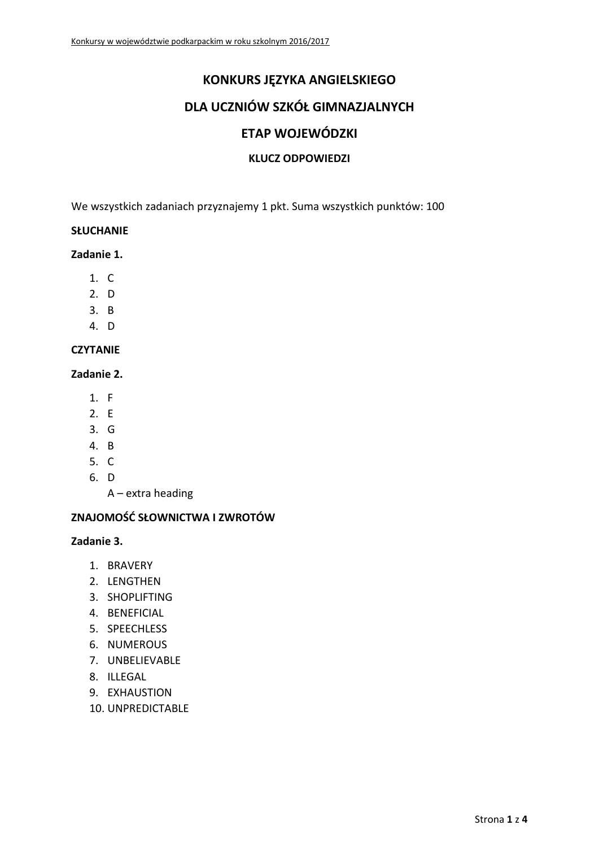# **KONKURS JĘZYKA ANGIELSKIEGO**

# **DLA UCZNIÓW SZKÓŁ GIMNAZJALNYCH**

## **ETAP WOJEWÓDZKI**

### **KLUCZ ODPOWIEDZI**

We wszystkich zadaniach przyznajemy 1 pkt. Suma wszystkich punktów: 100

### **SŁUCHANIE**

**Zadanie 1.**

- 1. C
- 2. D
- 3. B
- 4. D

## **CZYTANIE**

### **Zadanie 2.**

- 1. F
- 2. E
- 3. G
- 4. B
- 5. C
- 6. D

A – extra heading

## **ZNAJOMOŚĆ SŁOWNICTWA I ZWROTÓW**

### **Zadanie 3.**

- 1. BRAVERY
- 2. LENGTHEN
- 3. SHOPLIFTING
- 4. BENEFICIAL
- 5. SPEECHLESS
- 6. NUMEROUS
- 7. UNBELIEVABLE
- 8. ILLEGAL
- 9. EXHAUSTION
- 10. UNPREDICTABLE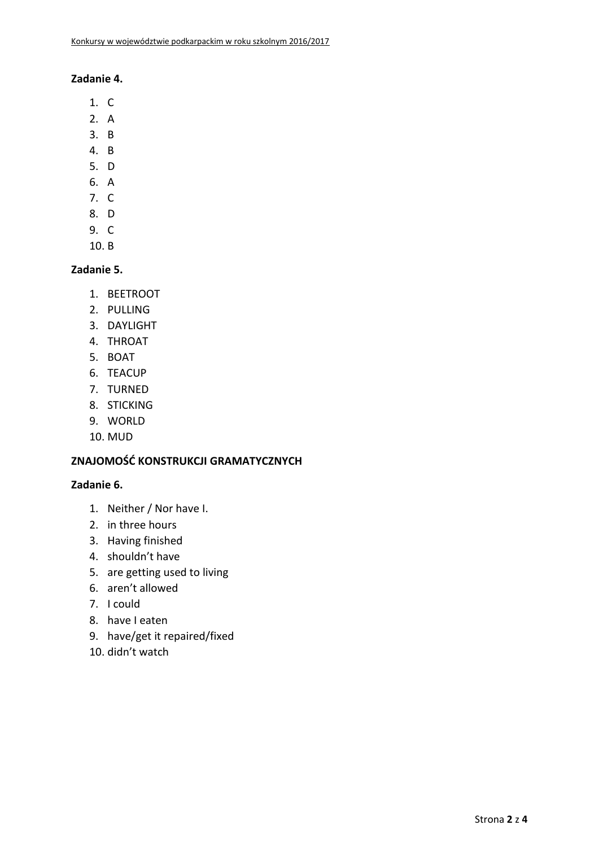### **Zadanie 4.**

- 1. C
- 2. A
- 3. B
- 4. B
- 5. D
- 6. A
- 7. C
- 8. D
- 9. C
- 10. B

## **Zadanie 5.**

- 1. BEETROOT
- 2. PULLING
- 3. DAYLIGHT
- 4. THROAT
- 5. BOAT
- 6. TEACUP
- 7. TURNED
- 8. STICKING
- 9. WORLD
- 10. MUD

# **ZNAJOMOŚĆ KONSTRUKCJI GRAMATYCZNYCH**

## **Zadanie 6.**

- 1. Neither / Nor have I.
- 2. in three hours
- 3. Having finished
- 4. shouldn't have
- 5. are getting used to living
- 6. aren't allowed
- 7. I could
- 8. have I eaten
- 9. have/get it repaired/fixed
- 10. didn't watch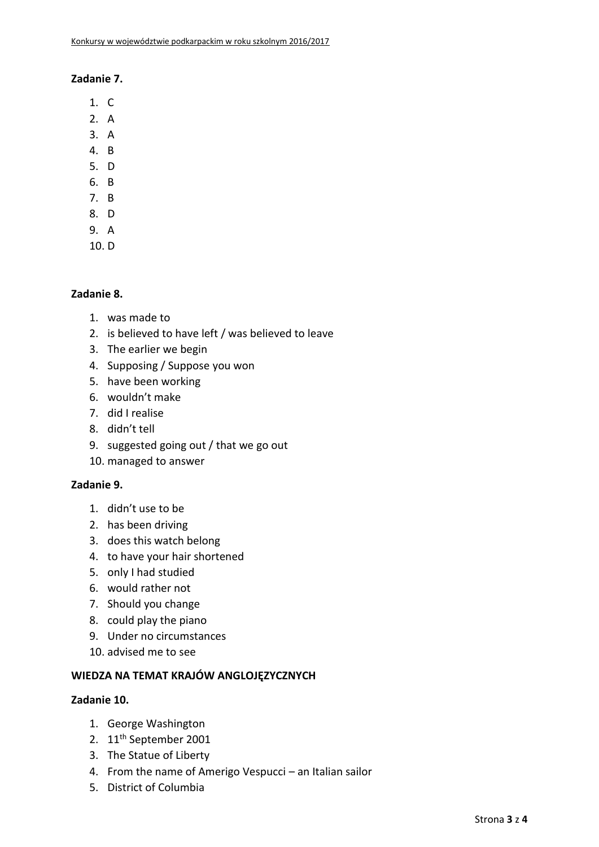### **Zadanie 7.**

- 1. C
- 2. A
- 3. A
- 4. B
- 5. D
- 6. B
- 7. B
- 8. D
- 9. A
- 10. D

## **Zadanie 8.**

- 1. was made to
- 2. is believed to have left / was believed to leave
- 3. The earlier we begin
- 4. Supposing / Suppose you won
- 5. have been working
- 6. wouldn't make
- 7. did I realise
- 8. didn't tell
- 9. suggested going out / that we go out
- 10. managed to answer

## **Zadanie 9.**

- 1. didn't use to be
- 2. has been driving
- 3. does this watch belong
- 4. to have your hair shortened
- 5. only I had studied
- 6. would rather not
- 7. Should you change
- 8. could play the piano
- 9. Under no circumstances
- 10. advised me to see

### **WIEDZA NA TEMAT KRAJÓW ANGLOJĘZYCZNYCH**

### **Zadanie 10.**

- 1. George Washington
- 2. 11th September 2001
- 3. The Statue of Liberty
- 4. From the name of Amerigo Vespucci an Italian sailor
- 5. District of Columbia